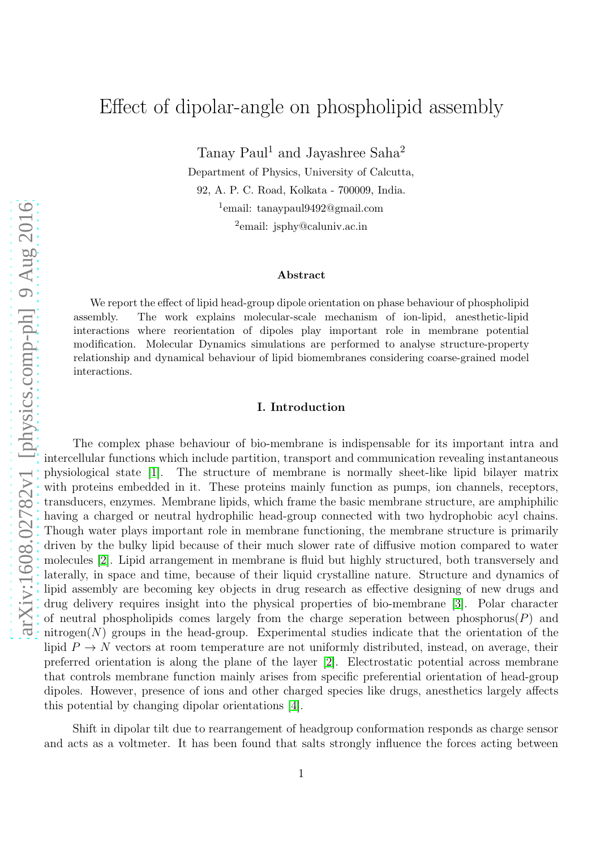# Effect of dipolar-angle on phospholipid assembly

Tanay Paul<sup>1</sup> and Jayashree Saha<sup>2</sup>

Department of Physics, University of Calcutta,

92, A. P. C. Road, Kolkata - 700009, India.

1 email: tanaypaul9492@gmail.com

<sup>2</sup>email: jsphy@caluniv.ac.in

#### Abstract

We report the effect of lipid head-group dipole orientation on phase behaviour of phospholipid assembly. The work explains molecular-scale mechanism of ion-lipid, anesthetic-lipid interactions where reorientation of dipoles play important role in membrane potential modification. Molecular Dynamics simulations are performed to analyse structure-property relationship and dynamical behaviour of lipid biomembranes considering coarse-grained model interactions.

#### I. Introduction

The complex phase behaviour of bio-membrane is indispensable for its important intra and intercellular functions which include partition, transport and communication revealing instantaneous physiological state [\[1\]](#page-8-0). The structure of membrane is normally sheet-like lipid bilayer matrix with proteins embedded in it. These proteins mainly function as pumps, ion channels, receptors, transducers, enzymes. Membrane lipids, which frame the basic membrane structure, are amphiphilic having a charged or neutral hydrophilic head-group connected with two hydrophobic acyl chains. Though water plays important role in membrane functioning, the membrane structure is primarily driven by the bulky lipid because of their much slower rate of diffusive motion compared to water molecules [\[2\]](#page-8-1). Lipid arrangement in membrane is fluid but highly structured, both transversely and laterally, in space and time, because of their liquid crystalline nature. Structure and dynamics of lipid assembly are becoming key objects in drug research as effective designing of new drugs and drug delivery requires insight into the physical properties of bio-membrane [\[3\]](#page-8-2). Polar character of neutral phospholipids comes largely from the charge seperation between phosphorus( $P$ ) and nitrogen $(N)$  groups in the head-group. Experimental studies indicate that the orientation of the lipid  $P \to N$  vectors at room temperature are not uniformly distributed, instead, on average, their preferred orientation is along the plane of the layer [\[2\]](#page-8-1). Electrostatic potential across membrane that controls membrane function mainly arises from specific preferential orientation of head-group dipoles. However, presence of ions and other charged species like drugs, anesthetics largely affects this potential by changing dipolar orientations [\[4\]](#page-8-3).

Shift in dipolar tilt due to rearrangement of headgroup conformation responds as charge sensor and acts as a voltmeter. It has been found that salts strongly influence the forces acting between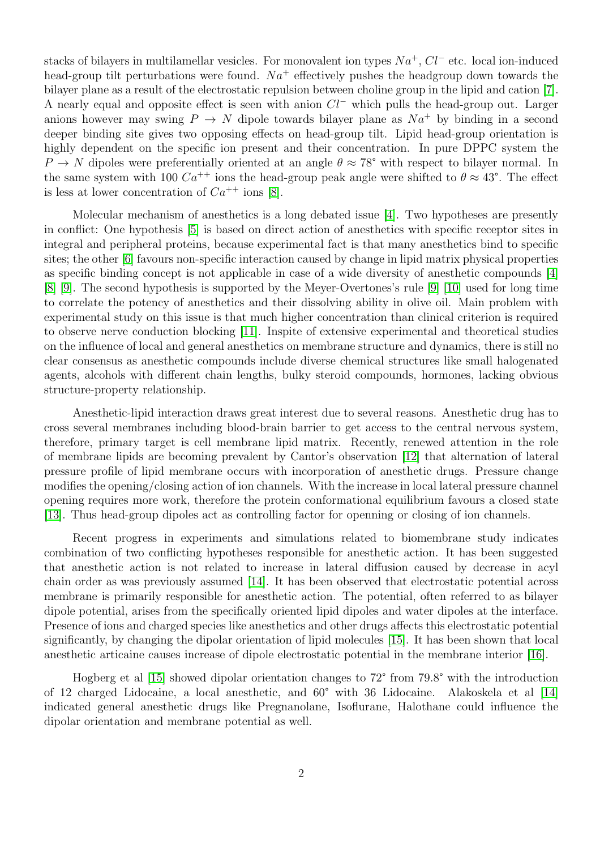stacks of bilayers in multilamellar vesicles. For monovalent ion types  $Na^+$ ,  $Cl^-$  etc. local ion-induced head-group tilt perturbations were found.  $Na^+$  effectively pushes the headgroup down towards the bilayer plane as a result of the electrostatic repulsion between choline group in the lipid and cation [\[7\]](#page-8-4). A nearly equal and opposite effect is seen with anion  $Cl^-$  which pulls the head-group out. Larger anions however may swing  $P \to N$  dipole towards bilayer plane as  $Na^+$  by binding in a second deeper binding site gives two opposing effects on head-group tilt. Lipid head-group orientation is highly dependent on the specific ion present and their concentration. In pure DPPC system the  $P \to N$  dipoles were preferentially oriented at an angle  $\theta \approx 78^{\circ}$  with respect to bilayer normal. In the same system with 100  $Ca^{++}$  ions the head-group peak angle were shifted to  $\theta \approx 43^{\circ}$ . The effect is less at lower concentration of  $Ca^{++}$  ions [\[8\]](#page-8-5).

Molecular mechanism of anesthetics is a long debated issue [\[4\]](#page-8-3). Two hypotheses are presently in conflict: One hypothesis [\[5\]](#page-8-6) is based on direct action of anesthetics with specific receptor sites in integral and peripheral proteins, because experimental fact is that many anesthetics bind to specific sites; the other [\[6\]](#page-8-7) favours non-specific interaction caused by change in lipid matrix physical properties as specific binding concept is not applicable in case of a wide diversity of anesthetic compounds [\[4\]](#page-8-3) [\[8\]](#page-8-5) [\[9\]](#page-8-8). The second hypothesis is supported by the Meyer-Overtones's rule [\[9\]](#page-8-8) [\[10\]](#page-8-9) used for long time to correlate the potency of anesthetics and their dissolving ability in olive oil. Main problem with experimental study on this issue is that much higher concentration than clinical criterion is required to observe nerve conduction blocking [\[11\]](#page-8-10). Inspite of extensive experimental and theoretical studies on the influence of local and general anesthetics on membrane structure and dynamics, there is still no clear consensus as anesthetic compounds include diverse chemical structures like small halogenated agents, alcohols with different chain lengths, bulky steroid compounds, hormones, lacking obvious structure-property relationship.

Anesthetic-lipid interaction draws great interest due to several reasons. Anesthetic drug has to cross several membranes including blood-brain barrier to get access to the central nervous system, therefore, primary target is cell membrane lipid matrix. Recently, renewed attention in the role of membrane lipids are becoming prevalent by Cantor's observation [\[12\]](#page-9-0) that alternation of lateral pressure profile of lipid membrane occurs with incorporation of anesthetic drugs. Pressure change modifies the opening/closing action of ion channels. With the increase in local lateral pressure channel opening requires more work, therefore the protein conformational equilibrium favours a closed state [\[13\]](#page-9-1). Thus head-group dipoles act as controlling factor for openning or closing of ion channels.

Recent progress in experiments and simulations related to biomembrane study indicates combination of two conflicting hypotheses responsible for anesthetic action. It has been suggested that anesthetic action is not related to increase in lateral diffusion caused by decrease in acyl chain order as was previously assumed [\[14\]](#page-9-2). It has been observed that electrostatic potential across membrane is primarily responsible for anesthetic action. The potential, often referred to as bilayer dipole potential, arises from the specifically oriented lipid dipoles and water dipoles at the interface. Presence of ions and charged species like anesthetics and other drugs affects this electrostatic potential significantly, by changing the dipolar orientation of lipid molecules [\[15\]](#page-9-3). It has been shown that local anesthetic articaine causes increase of dipole electrostatic potential in the membrane interior [\[16\]](#page-9-4).

Hogberg et al [\[15\]](#page-9-3) showed dipolar orientation changes to 72° from 79.8° with the introduction of 12 charged Lidocaine, a local anesthetic, and 60° with 36 Lidocaine. Alakoskela et al [\[14\]](#page-9-2) indicated general anesthetic drugs like Pregnanolane, Isoflurane, Halothane could influence the dipolar orientation and membrane potential as well.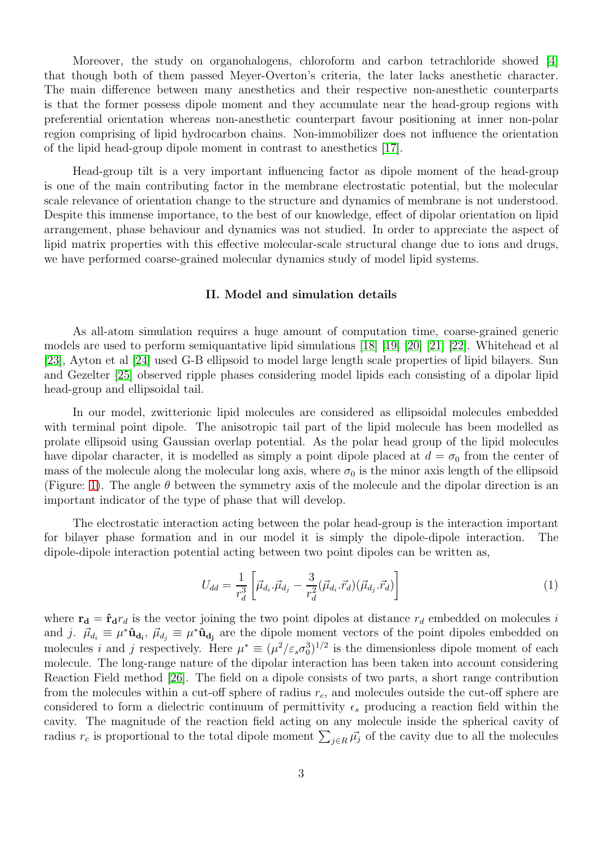Moreover, the study on organohalogens, chloroform and carbon tetrachloride showed [\[4\]](#page-8-3) that though both of them passed Meyer-Overton's criteria, the later lacks anesthetic character. The main difference between many anesthetics and their respective non-anesthetic counterparts is that the former possess dipole moment and they accumulate near the head-group regions with preferential orientation whereas non-anesthetic counterpart favour positioning at inner non-polar region comprising of lipid hydrocarbon chains. Non-immobilizer does not influence the orientation of the lipid head-group dipole moment in contrast to anesthetics [\[17\]](#page-9-5).

Head-group tilt is a very important influencing factor as dipole moment of the head-group is one of the main contributing factor in the membrane electrostatic potential, but the molecular scale relevance of orientation change to the structure and dynamics of membrane is not understood. Despite this immense importance, to the best of our knowledge, effect of dipolar orientation on lipid arrangement, phase behaviour and dynamics was not studied. In order to appreciate the aspect of lipid matrix properties with this effective molecular-scale structural change due to ions and drugs, we have performed coarse-grained molecular dynamics study of model lipid systems.

#### II. Model and simulation details

As all-atom simulation requires a huge amount of computation time, coarse-grained generic models are used to perform semiquantative lipid simulations [\[18\]](#page-9-6) [\[19\]](#page-9-7) [\[20\]](#page-9-8) [\[21\]](#page-9-9) [\[22\]](#page-9-10). Whitehead et al [\[23\]](#page-9-11), Ayton et al [\[24\]](#page-9-12) used G-B ellipsoid to model large length scale properties of lipid bilayers. Sun and Gezelter [\[25\]](#page-9-13) observed ripple phases considering model lipids each consisting of a dipolar lipid head-group and ellipsoidal tail.

In our model, zwitterionic lipid molecules are considered as ellipsoidal molecules embedded with terminal point dipole. The anisotropic tail part of the lipid molecule has been modelled as prolate ellipsoid using Gaussian overlap potential. As the polar head group of the lipid molecules have dipolar character, it is modelled as simply a point dipole placed at  $d = \sigma_0$  from the center of mass of the molecule along the molecular long axis, where  $\sigma_0$  is the minor axis length of the ellipsoid (Figure: [1\)](#page-3-0). The angle  $\theta$  between the symmetry axis of the molecule and the dipolar direction is an important indicator of the type of phase that will develop.

The electrostatic interaction acting between the polar head-group is the interaction important for bilayer phase formation and in our model it is simply the dipole-dipole interaction. The dipole-dipole interaction potential acting between two point dipoles can be written as,

$$
U_{dd} = \frac{1}{r_d^3} \left[ \vec{\mu}_{d_i} \cdot \vec{\mu}_{d_j} - \frac{3}{r_d^2} (\vec{\mu}_{d_i} \cdot \vec{r}_d) (\vec{\mu}_{d_j} \cdot \vec{r}_d) \right]
$$
(1)

where  $\mathbf{r_d} = \hat{\mathbf{r}}_d r_d$  is the vector joining the two point dipoles at distance  $r_d$  embedded on molecules i and j.  $\vec{\mu}_{d_i} \equiv \mu^* \hat{\mathbf{u}}_{d_i}$ ,  $\vec{\mu}_{d_j} \equiv \mu^* \hat{\mathbf{u}}_{d_j}$  are the dipole moment vectors of the point dipoles embedded on molecules i and j respectively. Here  $\mu^* \equiv (\mu^2/\varepsilon_s \sigma_0^3)^{1/2}$  is the dimensionless dipole moment of each molecule. The long-range nature of the dipolar interaction has been taken into account considering Reaction Field method [\[26\]](#page-9-14). The field on a dipole consists of two parts, a short range contribution from the molecules within a cut-off sphere of radius  $r_c$ , and molecules outside the cut-off sphere are considered to form a dielectric continuum of permittivity  $\epsilon_s$  producing a reaction field within the cavity. The magnitude of the reaction field acting on any molecule inside the spherical cavity of radius  $r_c$  is proportional to the total dipole moment  $\sum_{j\in R} \vec{\mu_j}$  of the cavity due to all the molecules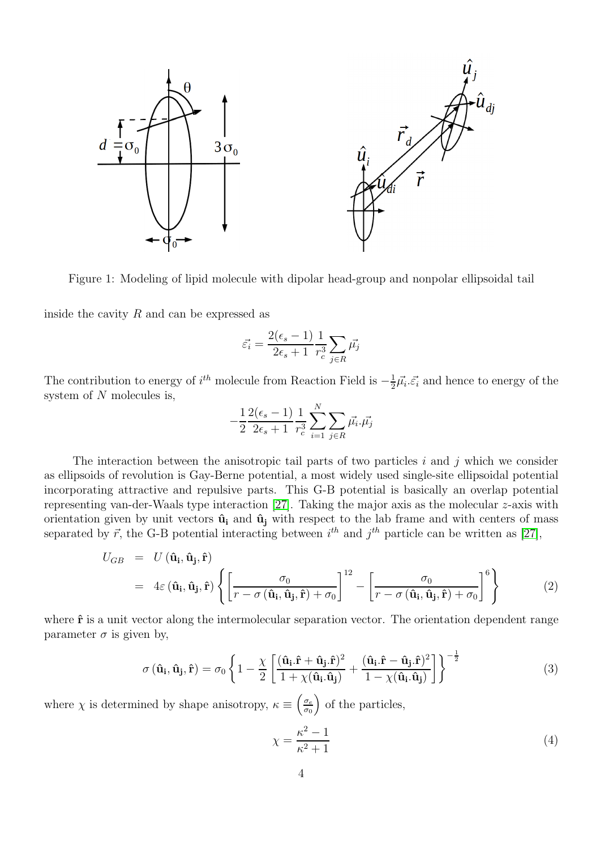<span id="page-3-0"></span>

Figure 1: Modeling of lipid molecule with dipolar head-group and nonpolar ellipsoidal tail

inside the cavity  $R$  and can be expressed as

$$
\vec{\varepsilon_i} = \frac{2(\epsilon_s - 1)}{2\epsilon_s + 1} \frac{1}{r_c^3} \sum_{j \in R} \vec{\mu_j}
$$

The contribution to energy of  $i^{th}$  molecule from Reaction Field is  $-\frac{1}{2}$  $\frac{1}{2}\vec{\mu_i}.\vec{\varepsilon_i}$  and hence to energy of the system of N molecules is,

$$
-\frac{1}{2}\frac{2(\epsilon_s-1)}{2\epsilon_s+1}\frac{1}{r_c^3}\sum_{i=1}^N\sum_{j\in R}\vec{\mu_i}.\vec{\mu_j}
$$

The interaction between the anisotropic tail parts of two particles  $i$  and  $j$  which we consider as ellipsoids of revolution is Gay-Berne potential, a most widely used single-site ellipsoidal potential incorporating attractive and repulsive parts. This G-B potential is basically an overlap potential representing van-der-Waals type interaction [\[27\]](#page-9-15). Taking the major axis as the molecular z-axis with orientation given by unit vectors  $\hat{\mathbf{u}}_i$  and  $\hat{\mathbf{u}}_j$  with respect to the lab frame and with centers of mass separated by  $\vec{r}$ , the G-B potential interacting between  $i^{th}$  and  $j^{th}$  particle can be written as [\[27\]](#page-9-15),

<span id="page-3-1"></span>
$$
U_{GB} = U(\hat{\mathbf{u}}_{\mathbf{i}}, \hat{\mathbf{u}}_{\mathbf{j}}, \hat{\mathbf{r}})
$$
  
=  $4\varepsilon (\hat{\mathbf{u}}_{\mathbf{i}}, \hat{\mathbf{u}}_{\mathbf{j}}, \hat{\mathbf{r}}) \left\{ \left[ \frac{\sigma_0}{r - \sigma (\hat{\mathbf{u}}_{\mathbf{i}}, \hat{\mathbf{u}}_{\mathbf{j}}, \hat{\mathbf{r}}) + \sigma_0} \right]^{12} - \left[ \frac{\sigma_0}{r - \sigma (\hat{\mathbf{u}}_{\mathbf{i}}, \hat{\mathbf{u}}_{\mathbf{j}}, \hat{\mathbf{r}}) + \sigma_0} \right]^6 \right\}$  (2)

where  $\hat{\mathbf{r}}$  is a unit vector along the intermolecular separation vector. The orientation dependent range parameter  $\sigma$  is given by,

$$
\sigma\left(\mathbf{\hat{u}}_{i},\mathbf{\hat{u}}_{j},\mathbf{\hat{r}}\right) = \sigma_{0} \left\{ 1 - \frac{\chi}{2} \left[ \frac{(\mathbf{\hat{u}}_{i}.\mathbf{\hat{r}} + \mathbf{\hat{u}}_{j}.\mathbf{\hat{r}})^{2}}{1 + \chi(\mathbf{\hat{u}}_{i}.\mathbf{\hat{u}}_{j})} + \frac{(\mathbf{\hat{u}}_{i}.\mathbf{\hat{r}} - \mathbf{\hat{u}}_{j}.\mathbf{\hat{r}})^{2}}{1 - \chi(\mathbf{\hat{u}}_{i}.\mathbf{\hat{u}}_{j})} \right] \right\}^{-\frac{1}{2}}
$$
(3)

where  $\chi$  is determined by shape anisotropy,  $\kappa \equiv \left(\frac{\sigma_e}{\sigma_0}\right)$  $\frac{\sigma_e}{\sigma_0}$  of the particles,

$$
\chi = \frac{\kappa^2 - 1}{\kappa^2 + 1} \tag{4}
$$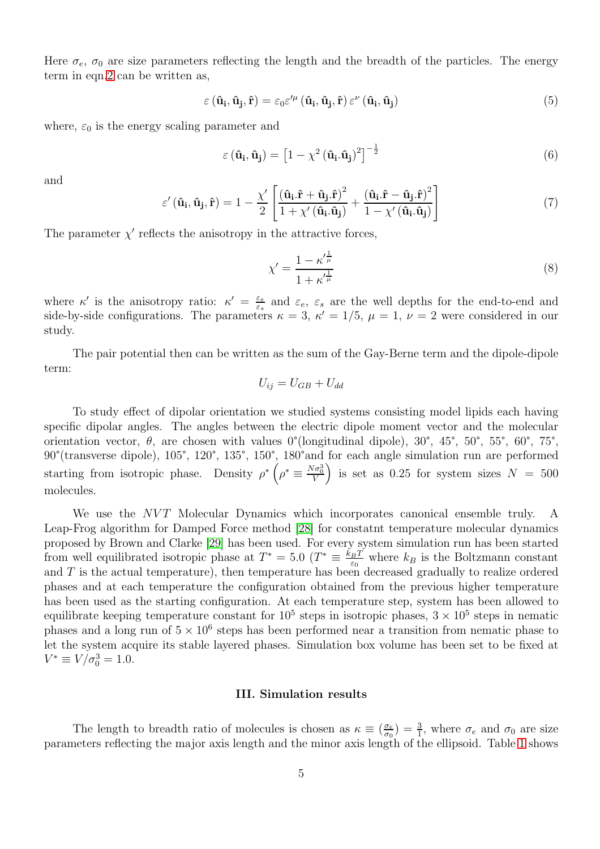Here  $\sigma_e$ ,  $\sigma_0$  are size parameters reflecting the length and the breadth of the particles. The energy term in eqn[.2](#page-3-1) can be written as,

$$
\varepsilon\left(\hat{\mathbf{u}}_{\mathbf{i}},\hat{\mathbf{u}}_{\mathbf{j}},\hat{\mathbf{r}}\right) = \varepsilon_0 \varepsilon^{\prime \mu}\left(\hat{\mathbf{u}}_{\mathbf{i}},\hat{\mathbf{u}}_{\mathbf{j}},\hat{\mathbf{r}}\right) \varepsilon^{\nu}\left(\hat{\mathbf{u}}_{\mathbf{i}},\hat{\mathbf{u}}_{\mathbf{j}}\right)
$$
\n(5)

where,  $\varepsilon_0$  is the energy scaling parameter and

$$
\varepsilon \left( \hat{\mathbf{u}}_{\mathbf{i}}, \hat{\mathbf{u}}_{\mathbf{j}} \right) = \left[ 1 - \chi^2 \left( \hat{\mathbf{u}}_{\mathbf{i}} . \hat{\mathbf{u}}_{\mathbf{j}} \right)^2 \right]^{-\frac{1}{2}}
$$
\n(6)

and

$$
\varepsilon'(\hat{\mathbf{u}}_{\mathbf{i}}, \hat{\mathbf{u}}_{\mathbf{j}}, \hat{\mathbf{r}}) = 1 - \frac{\chi'}{2} \left[ \frac{(\hat{\mathbf{u}}_{\mathbf{i}}.\hat{\mathbf{r}} + \hat{\mathbf{u}}_{\mathbf{j}}.\hat{\mathbf{r}})^2}{1 + \chi'(\hat{\mathbf{u}}_{\mathbf{i}}.\hat{\mathbf{u}}_{\mathbf{j}})} + \frac{(\hat{\mathbf{u}}_{\mathbf{i}}.\hat{\mathbf{r}} - \hat{\mathbf{u}}_{\mathbf{j}}.\hat{\mathbf{r}})^2}{1 - \chi'(\hat{\mathbf{u}}_{\mathbf{i}}.\hat{\mathbf{u}}_{\mathbf{j}})} \right]
$$
(7)

The parameter  $\chi'$  reflects the anisotropy in the attractive forces,

$$
\chi' = \frac{1 - {\kappa'}^{\frac{1}{\mu}}}{1 + {\kappa'}^{\frac{1}{\mu}}}
$$
\n(8)

where  $\kappa'$  is the anisotropy ratio:  $\kappa' = \frac{\varepsilon_e}{\varepsilon_e}$  $\varepsilon$ <sub>ε</sub> and  $\varepsilon$ <sub>e</sub>,  $\varepsilon$ <sub>s</sub> are the well depths for the end-to-end and side-by-side configurations. The parameters  $\kappa = 3$ ,  $\kappa' = 1/5$ ,  $\mu = 1$ ,  $\nu = 2$  were considered in our study.

The pair potential then can be written as the sum of the Gay-Berne term and the dipole-dipole term:

$$
U_{ij} = U_{GB} + U_{dd}
$$

To study effect of dipolar orientation we studied systems consisting model lipids each having specific dipolar angles. The angles between the electric dipole moment vector and the molecular orientation vector,  $\theta$ , are chosen with values 0°(longitudinal dipole), 30°, 45°, 50°, 55°, 60°, 75°, 90°(transverse dipole), 105°, 120°, 135°, 150°, 180°and for each angle simulation run are performed starting from isotropic phase. Density  $\rho^* \left( \rho^* \equiv \frac{N \sigma_0^3}{V} \right)$  is set as 0.25 for system sizes  $N = 500$ molecules.

We use the  $NVT$  Molecular Dynamics which incorporates canonical ensemble truly. A Leap-Frog algorithm for Damped Force method [\[28\]](#page-9-16) for constatnt temperature molecular dynamics proposed by Brown and Clarke [\[29\]](#page-9-17) has been used. For every system simulation run has been started from well equilibrated isotropic phase at  $T^* = 5.0$  ( $T^* \equiv \frac{k_B T}{\epsilon_0}$  $rac{BT}{\varepsilon_0}$  where  $k_B$  is the Boltzmann constant and  $T$  is the actual temperature), then temperature has been decreased gradually to realize ordered phases and at each temperature the configuration obtained from the previous higher temperature has been used as the starting configuration. At each temperature step, system has been allowed to equilibrate keeping temperature constant for  $10^5$  steps in isotropic phases,  $3 \times 10^5$  steps in nematic phases and a long run of  $5 \times 10^6$  steps has been performed near a transition from nematic phase to let the system acquire its stable layered phases. Simulation box volume has been set to be fixed at  $V^* \equiv V/\sigma_0^3 = 1.0.$ 

#### III. Simulation results

The length to breadth ratio of molecules is chosen as  $\kappa \equiv \left(\frac{\sigma_e}{\sigma_0}\right)$  $\frac{\sigma_e}{\sigma_0}$ ) =  $\frac{3}{1}$ , where  $\sigma_e$  and  $\sigma_0$  are size parameters reflecting the major axis length and the minor axis length of the ellipsoid. Table [1](#page-6-0) shows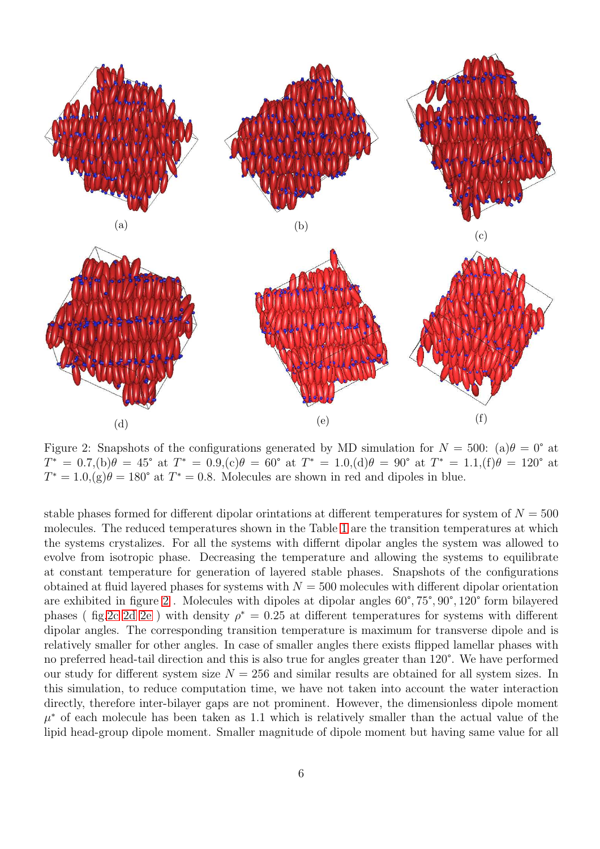<span id="page-5-0"></span>

Figure 2: Snapshots of the configurations generated by MD simulation for  $N = 500$ : (a) $\theta = 0^{\circ}$  at  $T^* = 0.7$ , (b) $\theta = 45^{\circ}$  at  $T^* = 0.9$ , (c) $\theta = 60^{\circ}$  at  $T^* = 1.0$ , (d) $\theta = 90^{\circ}$  at  $T^* = 1.1$ , (f) $\theta = 120^{\circ}$  at  $T^* = 1.0$ ,  $(g)\theta = 180^\circ$  at  $T^* = 0.8$ . Molecules are shown in red and dipoles in blue.

stable phases formed for different dipolar orintations at different temperatures for system of  $N = 500$ molecules. The reduced temperatures shown in the Table [1](#page-6-0) are the transition temperatures at which the systems crystalizes. For all the systems with differnt dipolar angles the system was allowed to evolve from isotropic phase. Decreasing the temperature and allowing the systems to equilibrate at constant temperature for generation of layered stable phases. Snapshots of the configurations obtained at fluid layered phases for systems with  $N = 500$  molecules with different dipolar orientation are exhibited in figure [2](#page-5-0) . Molecules with dipoles at dipolar angles 60°, 75°, 90°, 120° form bilayered phases ( fig[.2c 2d 2e](#page-5-0)) with density  $\rho^* = 0.25$  at different temperatures for systems with different dipolar angles. The corresponding transition temperature is maximum for transverse dipole and is relatively smaller for other angles. In case of smaller angles there exists flipped lamellar phases with no preferred head-tail direction and this is also true for angles greater than 120°. We have performed our study for different system size  $N = 256$  and similar results are obtained for all system sizes. In this simulation, to reduce computation time, we have not taken into account the water interaction directly, therefore inter-bilayer gaps are not prominent. However, the dimensionless dipole moment  $\mu^*$  of each molecule has been taken as 1.1 which is relatively smaller than the actual value of the lipid head-group dipole moment. Smaller magnitude of dipole moment but having same value for all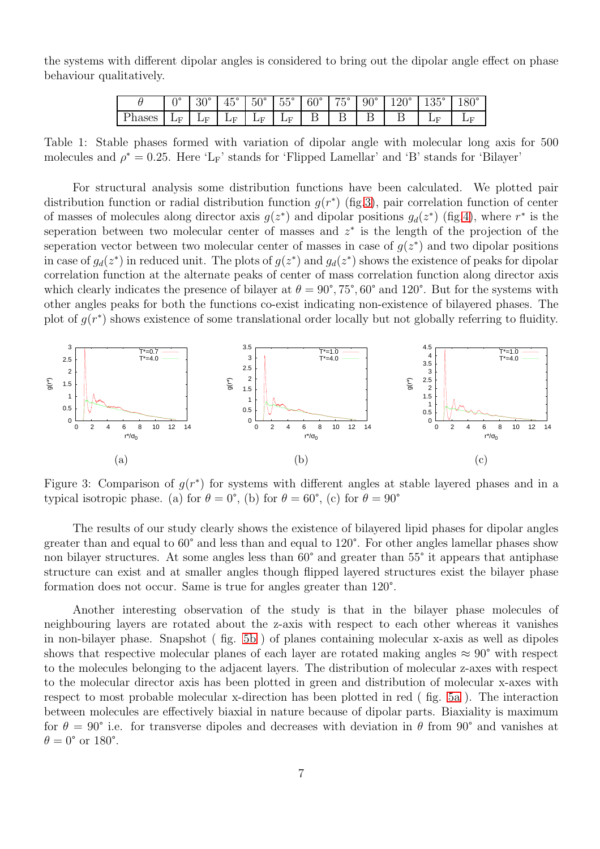<span id="page-6-0"></span>the systems with different dipolar angles is considered to bring out the dipolar angle effect on phase behaviour qualitatively.

|        |                | $30^{\circ}$ | $45^{\circ}$ | $50^{\circ}$             |                |  |  | $\mid 55^{\circ} \mid 60^{\circ} \mid 75^{\circ} \mid 90^{\circ} \mid 120^{\circ} \mid 135^{\circ} \mid 1$ | $180^\circ$ |
|--------|----------------|--------------|--------------|--------------------------|----------------|--|--|------------------------------------------------------------------------------------------------------------|-------------|
| Phases | $\mathbf{L}$ F | $\sqrt{E}$   | LF.          | $\mathbf{L}(\mathbf{F})$ | $\mathbf{L}$ F |  |  | Æ                                                                                                          |             |

Table 1: Stable phases formed with variation of dipolar angle with molecular long axis for 500 molecules and  $\rho^* = 0.25$ . Here 'L<sub>F</sub>' stands for 'Flipped Lamellar' and 'B' stands for 'Bilayer'

For structural analysis some distribution functions have been calculated. We plotted pair distribution function or radial distribution function  $g(r^*)$  (fig[.3\)](#page-6-1), pair correlation function of center of masses of molecules along director axis  $g(z^*)$  and dipolar positions  $g_d(z^*)$  (fig[.4\)](#page-7-0), where  $r^*$  is the seperation between two molecular center of masses and  $z^*$  is the length of the projection of the seperation vector between two molecular center of masses in case of  $g(z^*)$  and two dipolar positions in case of  $g_d(z^*)$  in reduced unit. The plots of  $g(z^*)$  and  $g_d(z^*)$  shows the existence of peaks for dipolar correlation function at the alternate peaks of center of mass correlation function along director axis which clearly indicates the presence of bilayer at  $\theta = 90^{\circ}, 75^{\circ}, 60^{\circ}$  and 120°. But for the systems with other angles peaks for both the functions co-exist indicating non-existence of bilayered phases. The plot of  $g(r^*)$  shows existence of some translational order locally but not globally referring to fluidity.

<span id="page-6-1"></span>

Figure 3: Comparison of  $g(r^*)$  for systems with different angles at stable layered phases and in a typical isotropic phase. (a) for  $\theta = 0^{\circ}$ , (b) for  $\theta = 60^{\circ}$ , (c) for  $\theta = 90^{\circ}$ 

The results of our study clearly shows the existence of bilayered lipid phases for dipolar angles greater than and equal to 60° and less than and equal to 120°. For other angles lamellar phases show non bilayer structures. At some angles less than 60° and greater than 55° it appears that antiphase structure can exist and at smaller angles though flipped layered structures exist the bilayer phase formation does not occur. Same is true for angles greater than 120°.

Another interesting observation of the study is that in the bilayer phase molecules of neighbouring layers are rotated about the z-axis with respect to each other whereas it vanishes in non-bilayer phase. Snapshot ( fig. [5b](#page-7-1) ) of planes containing molecular x-axis as well as dipoles shows that respective molecular planes of each layer are rotated making angles  $\approx 90^{\circ}$  with respect to the molecules belonging to the adjacent layers. The distribution of molecular z-axes with respect to the molecular director axis has been plotted in green and distribution of molecular x-axes with respect to most probable molecular x-direction has been plotted in red ( fig. [5a](#page-7-1) ). The interaction between molecules are effectively biaxial in nature because of dipolar parts. Biaxiality is maximum for  $\theta = 90^{\circ}$  i.e. for transverse dipoles and decreases with deviation in  $\theta$  from  $90^{\circ}$  and vanishes at  $\theta = 0^{\circ}$  or 180°.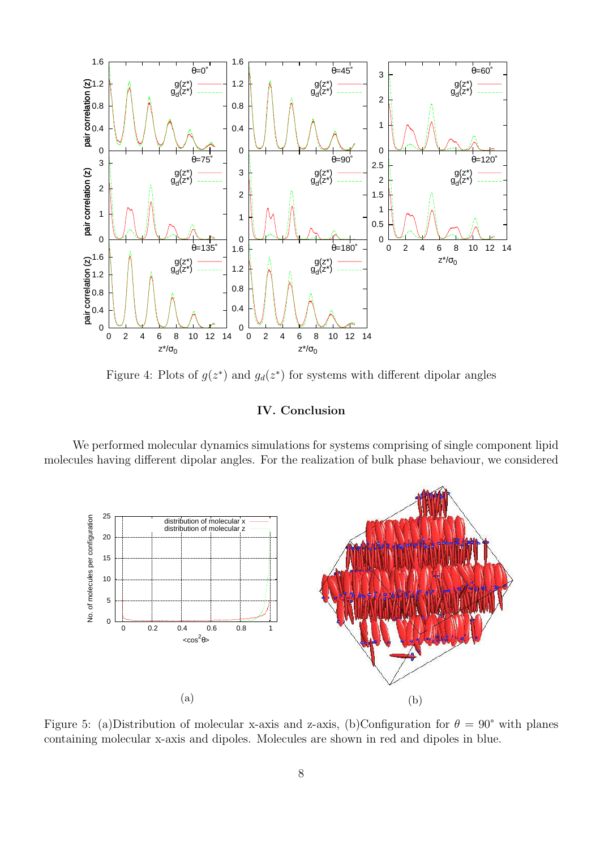<span id="page-7-0"></span>

Figure 4: Plots of  $g(z^*)$  and  $g_d(z^*)$  for systems with different dipolar angles

## IV. Conclusion

<span id="page-7-1"></span>We performed molecular dynamics simulations for systems comprising of single component lipid molecules having different dipolar angles. For the realization of bulk phase behaviour, we considered



Figure 5: (a)Distribution of molecular x-axis and z-axis, (b)Configuration for  $\theta = 90^{\circ}$  with planes containing molecular x-axis and dipoles. Molecules are shown in red and dipoles in blue.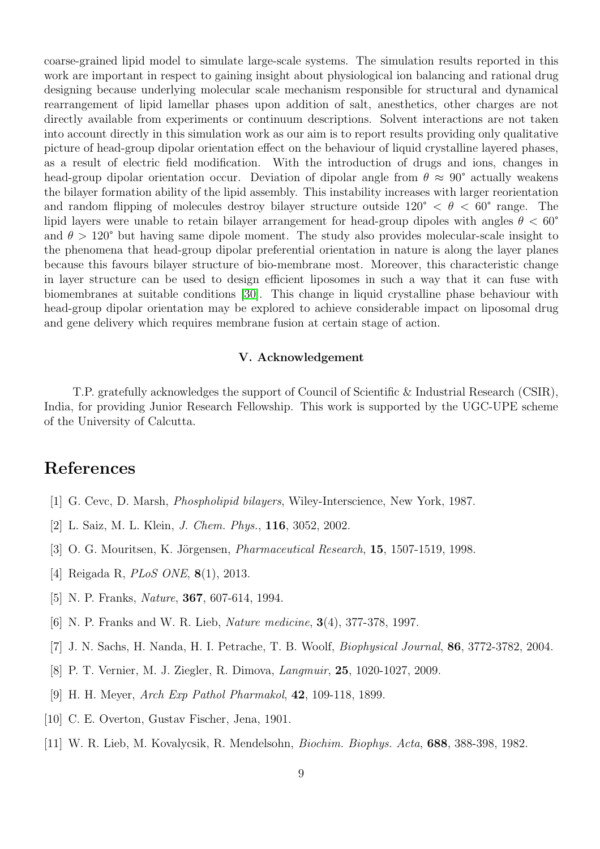coarse-grained lipid model to simulate large-scale systems. The simulation results reported in this work are important in respect to gaining insight about physiological ion balancing and rational drug designing because underlying molecular scale mechanism responsible for structural and dynamical rearrangement of lipid lamellar phases upon addition of salt, anesthetics, other charges are not directly available from experiments or continuum descriptions. Solvent interactions are not taken into account directly in this simulation work as our aim is to report results providing only qualitative picture of head-group dipolar orientation effect on the behaviour of liquid crystalline layered phases, as a result of electric field modification. With the introduction of drugs and ions, changes in head-group dipolar orientation occur. Deviation of dipolar angle from  $\theta \approx 90^{\circ}$  actually weakens the bilayer formation ability of the lipid assembly. This instability increases with larger reorientation and random flipping of molecules destroy bilayer structure outside  $120^{\circ} < \theta < 60^{\circ}$  range. The lipid layers were unable to retain bilayer arrangement for head-group dipoles with angles  $\theta < 60^{\circ}$ and  $\theta > 120^{\circ}$  but having same dipole moment. The study also provides molecular-scale insight to the phenomena that head-group dipolar preferential orientation in nature is along the layer planes because this favours bilayer structure of bio-membrane most. Moreover, this characteristic change in layer structure can be used to design efficient liposomes in such a way that it can fuse with biomembranes at suitable conditions [\[30\]](#page-9-18). This change in liquid crystalline phase behaviour with head-group dipolar orientation may be explored to achieve considerable impact on liposomal drug and gene delivery which requires membrane fusion at certain stage of action.

### V. Acknowledgement

T.P. gratefully acknowledges the support of Council of Scientific & Industrial Research (CSIR), India, for providing Junior Research Fellowship. This work is supported by the UGC-UPE scheme of the University of Calcutta.

# <span id="page-8-0"></span>References

- <span id="page-8-1"></span>[1] G. Cevc, D. Marsh, *Phospholipid bilayers*, Wiley-Interscience, New York, 1987.
- <span id="page-8-2"></span>[2] L. Saiz, M. L. Klein, J. Chem. Phys., 116, 3052, 2002.
- <span id="page-8-3"></span>[3] O. G. Mouritsen, K. Jörgensen, *Pharmaceutical Research*, **15**, 1507-1519, 1998.
- <span id="page-8-6"></span>[4] Reigada R, PLoS ONE, 8(1), 2013.
- <span id="page-8-7"></span>[5] N. P. Franks, Nature, 367, 607-614, 1994.
- <span id="page-8-4"></span>[6] N. P. Franks and W. R. Lieb, Nature medicine, 3(4), 377-378, 1997.
- <span id="page-8-5"></span>[7] J. N. Sachs, H. Nanda, H. I. Petrache, T. B. Woolf, Biophysical Journal, 86, 3772-3782, 2004.
- <span id="page-8-8"></span>[8] P. T. Vernier, M. J. Ziegler, R. Dimova, Langmuir, 25, 1020-1027, 2009.
- <span id="page-8-9"></span>[9] H. H. Meyer, Arch Exp Pathol Pharmakol, 42, 109-118, 1899.
- <span id="page-8-10"></span>[10] C. E. Overton, Gustav Fischer, Jena, 1901.
- [11] W. R. Lieb, M. Kovalycsik, R. Mendelsohn, Biochim. Biophys. Acta, 688, 388-398, 1982.